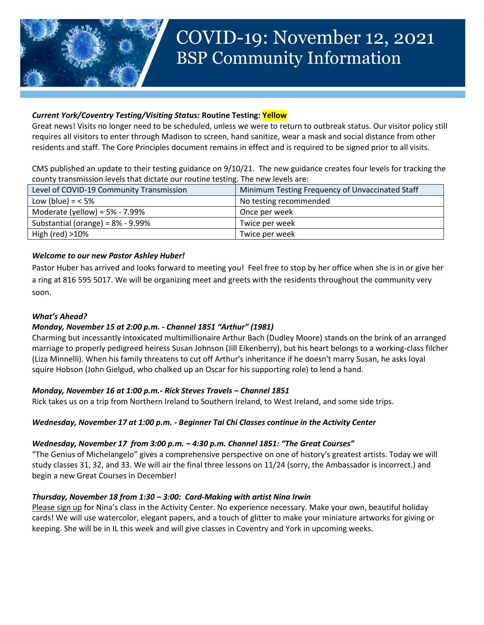

## *Current York/Coventry Testing/Visiting Status:* **Routine Testing: Yellow**

Great news! Visits no longer need to be scheduled, unless we were to return to outbreak status. Our visitor policy still requires all visitors to enter through Madison to screen, hand sanitize, wear a mask and social distance from other residents and staff. The Core Principles document remains in effect and is required to be signed prior to all visits.

CMS published an update to their testing guidance on 9/10/21. The new guidance creates four levels for tracking the county transmission levels that dictate our routine testing. The new levels are:

| Level of COVID-19 Community Transmission | Minimum Testing Frequency of Unvaccinated Staff |
|------------------------------------------|-------------------------------------------------|
| Low (blue) = $<$ 5%                      | No testing recommended                          |
| Moderate (yellow) = $5\%$ - 7.99%        | Once per week                                   |
| Substantial (orange) = $8\%$ - 9.99%     | Twice per week                                  |
| High (red) $>10\%$                       | Twice per week                                  |

# *Welcome to our new Pastor Ashley Huber!*

Pastor Huber has arrived and looks forward to meeting you! Feel free to stop by her office when she is in or give her a ring at 816 595 5017. We will be organizing meet and greets with the residents throughout the community very soon.

## *What's Ahead?*

## *Monday, November 15 at 2:00 p.m. - Channel 1851 "Arthur" (1981)*

Charming but incessantly intoxicated multimillionaire Arthur Bach (Dudley Moore) stands on the brink of an arranged marriage to properly pedigreed heiress Susan Johnson (Jill Eikenberry), but his heart belongs to a working-class filcher (Liza Minnelli). When his family threatens to cut off Arthur's inheritance if he doesn't marry Susan, he asks loyal squire Hobson (John Gielgud, who chalked up an Oscar for his supporting role) to lend a hand.

## *Monday, November 16 at 1:00 p.m.- Rick Steves Travels – Channel 1851*

Rick takes us on a trip from Northern Ireland to Southern Ireland, to West Ireland, and some side trips.

## *Wednesday, November 17 at 1:00 p.m. - Beginner Tai Chi Classes continue in the Activity Center*

#### *Wednesday, November 17 from 3:00 p.m. – 4:30 p.m. Channel 1851: "The Great Courses"*

"The Genius of Michelangelo" gives a comprehensive perspective on one of history's greatest artists. Today we will study classes 31, 32, and 33. We will air the final three lessons on 11/24 (sorry, the Ambassador is incorrect.) and begin a new Great Courses in December!

#### *Thursday, November 18 from 1:30 – 3:00: Card-Making with artist Nina Irwin*

Please sign up for Nina's class in the Activity Center. No experience necessary. Make your own, beautiful holiday cards! We will use watercolor, elegant papers, and a touch of glitter to make your miniature artworks for giving or keeping. She will be in IL this week and will give classes in Coventry and York in upcoming weeks.